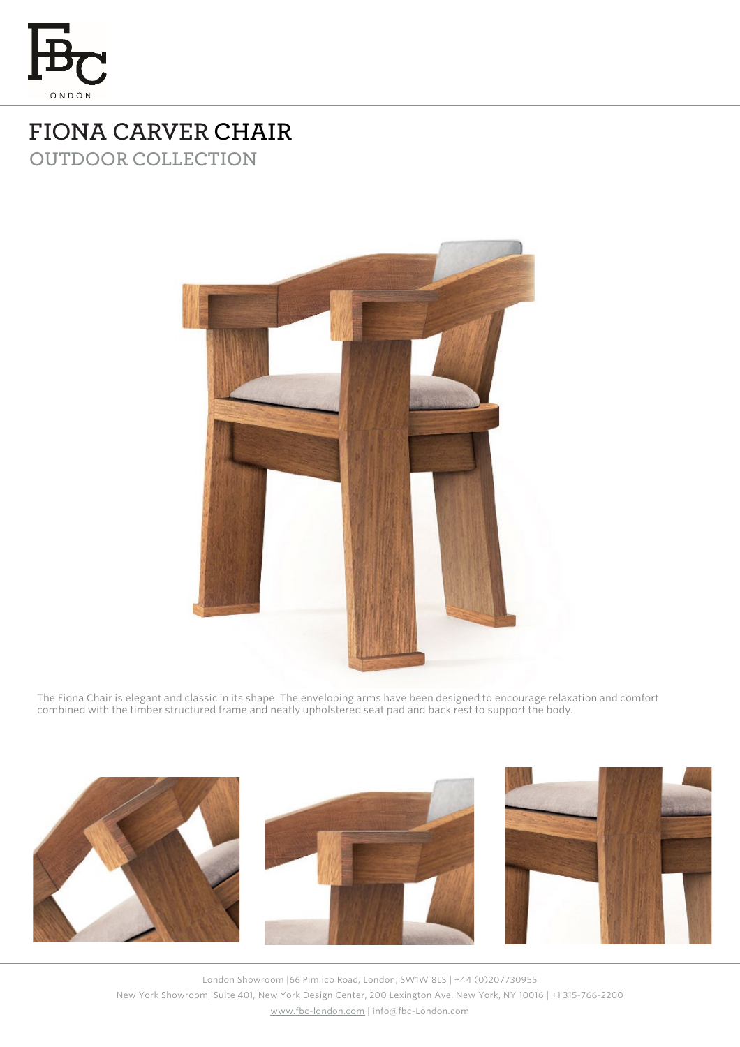

## **FIONA CARVER CHAIR OUTDOOR COLLECTION**



The Fiona Chair is elegant and classic in its shape. The enveloping arms have been designed to encourage relaxation and comfort combined with the timber structured frame and neatly upholstered seat pad and back rest to support the body.



London Showroom |66 Pimlico Road, London, SW1W 8LS | +44 (0)207730955 New York Showroom |Suite 401, New York Design Center, 200 Lexington Ave, New York, NY 10016 | +1 315-766-2200 [www.fbc-london.com](http://www.fbc-london.com/) | info@fbc-London.com